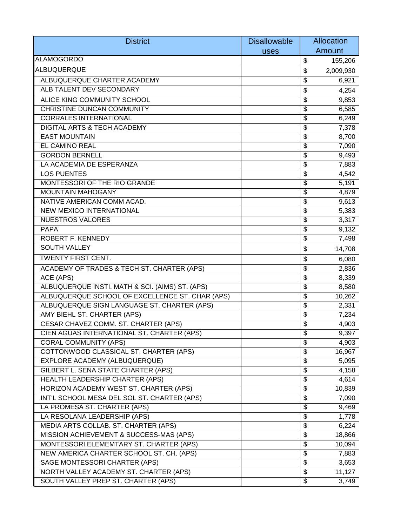| Amount<br>uses<br>\$<br>155,206<br>2,009,930<br>\$<br>ALBUQUERQUE CHARTER ACADEMY<br>\$<br>6,921<br>ALB TALENT DEV SECONDARY<br>4,254<br>\$<br>ALICE KING COMMUNITY SCHOOL<br>\$<br>9,853<br><b>CHRISTINE DUNCAN COMMUNITY</b><br>\$<br>6,585<br><b>CORRALES INTERNATIONAL</b><br>6,249<br>\$<br>DIGITAL ARTS & TECH ACADEMY<br>\$<br>7,378<br><b>EAST MOUNTAIN</b><br>\$<br>8,700<br>EL CAMINO REAL<br>7,090<br>\$<br><b>GORDON BERNELL</b><br>\$<br>9,493<br>LA ACADEMIA DE ESPERANZA<br>\$<br>7,883<br><b>LOS PUENTES</b><br>4,542<br>\$<br>MONTESSORI OF THE RIO GRANDE<br>\$<br>5,191<br><b>MOUNTAIN MAHOGANY</b><br>4,879<br>\$<br>NATIVE AMERICAN COMM ACAD.<br>9,613<br>\$<br>NEW MEXICO INTERNATIONAL<br>\$<br>5,383<br><b>NUESTROS VALORES</b><br>3,317<br>\$<br><b>PAPA</b><br>9,132<br>\$<br>ROBERT F. KENNEDY<br>\$<br>7,498<br><b>SOUTH VALLEY</b><br>14,708<br>\$<br><b>TWENTY FIRST CENT.</b><br>\$<br>6,080<br>ACADEMY OF TRADES & TECH ST. CHARTER (APS)<br>\$<br>2,836<br>ACE (APS)<br>8,339<br>\$<br>ALBUQUERQUE INSTI. MATH & SCI. (AIMS) ST. (APS)<br>\$<br>8,580<br>ALBUQUERQUE SCHOOL OF EXCELLENCE ST. CHAR (APS)<br>10,262<br>\$<br>ALBUQUERQUE SIGN LANGUAGE ST. CHARTER (APS)<br>2,331<br>\$<br>AMY BIEHL ST. CHARTER (APS)<br>\$<br>7,234<br>CESAR CHAVEZ COMM. ST. CHARTER (APS)<br>\$<br>4,903<br>$\overline{\$}$<br>CIEN AGUAS INTERNATIONAL ST. CHARTER (APS)<br>9,397<br><b>CORAL COMMUNITY (APS)</b><br>\$<br>4,903<br>COTTONWOOD CLASSICAL ST. CHARTER (APS)<br>\$<br>16,967<br>EXPLORE ACADEMY (ALBUQUERQUE)<br>\$<br>5,095<br>GILBERT L. SENA STATE CHARTER (APS)<br>\$<br>4,158<br>HEALTH LEADERSHIP CHARTER (APS)<br>4,614<br>\$<br>HORIZON ACADEMY WEST ST. CHARTER (APS)<br>10,839<br>\$<br>INT'L SCHOOL MESA DEL SOL ST. CHARTER (APS)<br>\$<br>7,090<br>LA PROMESA ST. CHARTER (APS)<br>\$<br>9,469<br>LA RESOLANA LEADERSHIP (APS)<br>\$<br>1,778<br>MEDIA ARTS COLLAB. ST. CHARTER (APS)<br>\$<br>6,224<br>18,866<br>MISSION ACHIEVEMENT & SUCCESS-MAS (APS)<br>\$<br>10,094<br>MONTESSORI ELEMEMTARY ST. CHARTER (APS)<br>\$<br>NEW AMERICA CHARTER SCHOOL ST. CH. (APS)<br>\$<br>7,883<br>SAGE MONTESSORI CHARTER (APS)<br>3,653<br>\$<br>NORTH VALLEY ACADEMY ST. CHARTER (APS)<br>\$<br>11,127<br>SOUTH VALLEY PREP ST. CHARTER (APS)<br>\$<br>3,749 | <b>District</b>   | <b>Disallowable</b> | Allocation |
|--------------------------------------------------------------------------------------------------------------------------------------------------------------------------------------------------------------------------------------------------------------------------------------------------------------------------------------------------------------------------------------------------------------------------------------------------------------------------------------------------------------------------------------------------------------------------------------------------------------------------------------------------------------------------------------------------------------------------------------------------------------------------------------------------------------------------------------------------------------------------------------------------------------------------------------------------------------------------------------------------------------------------------------------------------------------------------------------------------------------------------------------------------------------------------------------------------------------------------------------------------------------------------------------------------------------------------------------------------------------------------------------------------------------------------------------------------------------------------------------------------------------------------------------------------------------------------------------------------------------------------------------------------------------------------------------------------------------------------------------------------------------------------------------------------------------------------------------------------------------------------------------------------------------------------------------------------------------------------------------------------------------------------------------------------------------------------------------------------------------------------------------------------------------------------------------------------------------------------------------------------------------------------------------------------|-------------------|---------------------|------------|
|                                                                                                                                                                                                                                                                                                                                                                                                                                                                                                                                                                                                                                                                                                                                                                                                                                                                                                                                                                                                                                                                                                                                                                                                                                                                                                                                                                                                                                                                                                                                                                                                                                                                                                                                                                                                                                                                                                                                                                                                                                                                                                                                                                                                                                                                                                        |                   |                     |            |
|                                                                                                                                                                                                                                                                                                                                                                                                                                                                                                                                                                                                                                                                                                                                                                                                                                                                                                                                                                                                                                                                                                                                                                                                                                                                                                                                                                                                                                                                                                                                                                                                                                                                                                                                                                                                                                                                                                                                                                                                                                                                                                                                                                                                                                                                                                        | <b>ALAMOGORDO</b> |                     |            |
|                                                                                                                                                                                                                                                                                                                                                                                                                                                                                                                                                                                                                                                                                                                                                                                                                                                                                                                                                                                                                                                                                                                                                                                                                                                                                                                                                                                                                                                                                                                                                                                                                                                                                                                                                                                                                                                                                                                                                                                                                                                                                                                                                                                                                                                                                                        | ALBUQUERQUE       |                     |            |
|                                                                                                                                                                                                                                                                                                                                                                                                                                                                                                                                                                                                                                                                                                                                                                                                                                                                                                                                                                                                                                                                                                                                                                                                                                                                                                                                                                                                                                                                                                                                                                                                                                                                                                                                                                                                                                                                                                                                                                                                                                                                                                                                                                                                                                                                                                        |                   |                     |            |
|                                                                                                                                                                                                                                                                                                                                                                                                                                                                                                                                                                                                                                                                                                                                                                                                                                                                                                                                                                                                                                                                                                                                                                                                                                                                                                                                                                                                                                                                                                                                                                                                                                                                                                                                                                                                                                                                                                                                                                                                                                                                                                                                                                                                                                                                                                        |                   |                     |            |
|                                                                                                                                                                                                                                                                                                                                                                                                                                                                                                                                                                                                                                                                                                                                                                                                                                                                                                                                                                                                                                                                                                                                                                                                                                                                                                                                                                                                                                                                                                                                                                                                                                                                                                                                                                                                                                                                                                                                                                                                                                                                                                                                                                                                                                                                                                        |                   |                     |            |
|                                                                                                                                                                                                                                                                                                                                                                                                                                                                                                                                                                                                                                                                                                                                                                                                                                                                                                                                                                                                                                                                                                                                                                                                                                                                                                                                                                                                                                                                                                                                                                                                                                                                                                                                                                                                                                                                                                                                                                                                                                                                                                                                                                                                                                                                                                        |                   |                     |            |
|                                                                                                                                                                                                                                                                                                                                                                                                                                                                                                                                                                                                                                                                                                                                                                                                                                                                                                                                                                                                                                                                                                                                                                                                                                                                                                                                                                                                                                                                                                                                                                                                                                                                                                                                                                                                                                                                                                                                                                                                                                                                                                                                                                                                                                                                                                        |                   |                     |            |
|                                                                                                                                                                                                                                                                                                                                                                                                                                                                                                                                                                                                                                                                                                                                                                                                                                                                                                                                                                                                                                                                                                                                                                                                                                                                                                                                                                                                                                                                                                                                                                                                                                                                                                                                                                                                                                                                                                                                                                                                                                                                                                                                                                                                                                                                                                        |                   |                     |            |
|                                                                                                                                                                                                                                                                                                                                                                                                                                                                                                                                                                                                                                                                                                                                                                                                                                                                                                                                                                                                                                                                                                                                                                                                                                                                                                                                                                                                                                                                                                                                                                                                                                                                                                                                                                                                                                                                                                                                                                                                                                                                                                                                                                                                                                                                                                        |                   |                     |            |
|                                                                                                                                                                                                                                                                                                                                                                                                                                                                                                                                                                                                                                                                                                                                                                                                                                                                                                                                                                                                                                                                                                                                                                                                                                                                                                                                                                                                                                                                                                                                                                                                                                                                                                                                                                                                                                                                                                                                                                                                                                                                                                                                                                                                                                                                                                        |                   |                     |            |
|                                                                                                                                                                                                                                                                                                                                                                                                                                                                                                                                                                                                                                                                                                                                                                                                                                                                                                                                                                                                                                                                                                                                                                                                                                                                                                                                                                                                                                                                                                                                                                                                                                                                                                                                                                                                                                                                                                                                                                                                                                                                                                                                                                                                                                                                                                        |                   |                     |            |
|                                                                                                                                                                                                                                                                                                                                                                                                                                                                                                                                                                                                                                                                                                                                                                                                                                                                                                                                                                                                                                                                                                                                                                                                                                                                                                                                                                                                                                                                                                                                                                                                                                                                                                                                                                                                                                                                                                                                                                                                                                                                                                                                                                                                                                                                                                        |                   |                     |            |
|                                                                                                                                                                                                                                                                                                                                                                                                                                                                                                                                                                                                                                                                                                                                                                                                                                                                                                                                                                                                                                                                                                                                                                                                                                                                                                                                                                                                                                                                                                                                                                                                                                                                                                                                                                                                                                                                                                                                                                                                                                                                                                                                                                                                                                                                                                        |                   |                     |            |
|                                                                                                                                                                                                                                                                                                                                                                                                                                                                                                                                                                                                                                                                                                                                                                                                                                                                                                                                                                                                                                                                                                                                                                                                                                                                                                                                                                                                                                                                                                                                                                                                                                                                                                                                                                                                                                                                                                                                                                                                                                                                                                                                                                                                                                                                                                        |                   |                     |            |
|                                                                                                                                                                                                                                                                                                                                                                                                                                                                                                                                                                                                                                                                                                                                                                                                                                                                                                                                                                                                                                                                                                                                                                                                                                                                                                                                                                                                                                                                                                                                                                                                                                                                                                                                                                                                                                                                                                                                                                                                                                                                                                                                                                                                                                                                                                        |                   |                     |            |
|                                                                                                                                                                                                                                                                                                                                                                                                                                                                                                                                                                                                                                                                                                                                                                                                                                                                                                                                                                                                                                                                                                                                                                                                                                                                                                                                                                                                                                                                                                                                                                                                                                                                                                                                                                                                                                                                                                                                                                                                                                                                                                                                                                                                                                                                                                        |                   |                     |            |
|                                                                                                                                                                                                                                                                                                                                                                                                                                                                                                                                                                                                                                                                                                                                                                                                                                                                                                                                                                                                                                                                                                                                                                                                                                                                                                                                                                                                                                                                                                                                                                                                                                                                                                                                                                                                                                                                                                                                                                                                                                                                                                                                                                                                                                                                                                        |                   |                     |            |
|                                                                                                                                                                                                                                                                                                                                                                                                                                                                                                                                                                                                                                                                                                                                                                                                                                                                                                                                                                                                                                                                                                                                                                                                                                                                                                                                                                                                                                                                                                                                                                                                                                                                                                                                                                                                                                                                                                                                                                                                                                                                                                                                                                                                                                                                                                        |                   |                     |            |
|                                                                                                                                                                                                                                                                                                                                                                                                                                                                                                                                                                                                                                                                                                                                                                                                                                                                                                                                                                                                                                                                                                                                                                                                                                                                                                                                                                                                                                                                                                                                                                                                                                                                                                                                                                                                                                                                                                                                                                                                                                                                                                                                                                                                                                                                                                        |                   |                     |            |
|                                                                                                                                                                                                                                                                                                                                                                                                                                                                                                                                                                                                                                                                                                                                                                                                                                                                                                                                                                                                                                                                                                                                                                                                                                                                                                                                                                                                                                                                                                                                                                                                                                                                                                                                                                                                                                                                                                                                                                                                                                                                                                                                                                                                                                                                                                        |                   |                     |            |
|                                                                                                                                                                                                                                                                                                                                                                                                                                                                                                                                                                                                                                                                                                                                                                                                                                                                                                                                                                                                                                                                                                                                                                                                                                                                                                                                                                                                                                                                                                                                                                                                                                                                                                                                                                                                                                                                                                                                                                                                                                                                                                                                                                                                                                                                                                        |                   |                     |            |
|                                                                                                                                                                                                                                                                                                                                                                                                                                                                                                                                                                                                                                                                                                                                                                                                                                                                                                                                                                                                                                                                                                                                                                                                                                                                                                                                                                                                                                                                                                                                                                                                                                                                                                                                                                                                                                                                                                                                                                                                                                                                                                                                                                                                                                                                                                        |                   |                     |            |
|                                                                                                                                                                                                                                                                                                                                                                                                                                                                                                                                                                                                                                                                                                                                                                                                                                                                                                                                                                                                                                                                                                                                                                                                                                                                                                                                                                                                                                                                                                                                                                                                                                                                                                                                                                                                                                                                                                                                                                                                                                                                                                                                                                                                                                                                                                        |                   |                     |            |
|                                                                                                                                                                                                                                                                                                                                                                                                                                                                                                                                                                                                                                                                                                                                                                                                                                                                                                                                                                                                                                                                                                                                                                                                                                                                                                                                                                                                                                                                                                                                                                                                                                                                                                                                                                                                                                                                                                                                                                                                                                                                                                                                                                                                                                                                                                        |                   |                     |            |
|                                                                                                                                                                                                                                                                                                                                                                                                                                                                                                                                                                                                                                                                                                                                                                                                                                                                                                                                                                                                                                                                                                                                                                                                                                                                                                                                                                                                                                                                                                                                                                                                                                                                                                                                                                                                                                                                                                                                                                                                                                                                                                                                                                                                                                                                                                        |                   |                     |            |
|                                                                                                                                                                                                                                                                                                                                                                                                                                                                                                                                                                                                                                                                                                                                                                                                                                                                                                                                                                                                                                                                                                                                                                                                                                                                                                                                                                                                                                                                                                                                                                                                                                                                                                                                                                                                                                                                                                                                                                                                                                                                                                                                                                                                                                                                                                        |                   |                     |            |
|                                                                                                                                                                                                                                                                                                                                                                                                                                                                                                                                                                                                                                                                                                                                                                                                                                                                                                                                                                                                                                                                                                                                                                                                                                                                                                                                                                                                                                                                                                                                                                                                                                                                                                                                                                                                                                                                                                                                                                                                                                                                                                                                                                                                                                                                                                        |                   |                     |            |
|                                                                                                                                                                                                                                                                                                                                                                                                                                                                                                                                                                                                                                                                                                                                                                                                                                                                                                                                                                                                                                                                                                                                                                                                                                                                                                                                                                                                                                                                                                                                                                                                                                                                                                                                                                                                                                                                                                                                                                                                                                                                                                                                                                                                                                                                                                        |                   |                     |            |
|                                                                                                                                                                                                                                                                                                                                                                                                                                                                                                                                                                                                                                                                                                                                                                                                                                                                                                                                                                                                                                                                                                                                                                                                                                                                                                                                                                                                                                                                                                                                                                                                                                                                                                                                                                                                                                                                                                                                                                                                                                                                                                                                                                                                                                                                                                        |                   |                     |            |
|                                                                                                                                                                                                                                                                                                                                                                                                                                                                                                                                                                                                                                                                                                                                                                                                                                                                                                                                                                                                                                                                                                                                                                                                                                                                                                                                                                                                                                                                                                                                                                                                                                                                                                                                                                                                                                                                                                                                                                                                                                                                                                                                                                                                                                                                                                        |                   |                     |            |
|                                                                                                                                                                                                                                                                                                                                                                                                                                                                                                                                                                                                                                                                                                                                                                                                                                                                                                                                                                                                                                                                                                                                                                                                                                                                                                                                                                                                                                                                                                                                                                                                                                                                                                                                                                                                                                                                                                                                                                                                                                                                                                                                                                                                                                                                                                        |                   |                     |            |
|                                                                                                                                                                                                                                                                                                                                                                                                                                                                                                                                                                                                                                                                                                                                                                                                                                                                                                                                                                                                                                                                                                                                                                                                                                                                                                                                                                                                                                                                                                                                                                                                                                                                                                                                                                                                                                                                                                                                                                                                                                                                                                                                                                                                                                                                                                        |                   |                     |            |
|                                                                                                                                                                                                                                                                                                                                                                                                                                                                                                                                                                                                                                                                                                                                                                                                                                                                                                                                                                                                                                                                                                                                                                                                                                                                                                                                                                                                                                                                                                                                                                                                                                                                                                                                                                                                                                                                                                                                                                                                                                                                                                                                                                                                                                                                                                        |                   |                     |            |
|                                                                                                                                                                                                                                                                                                                                                                                                                                                                                                                                                                                                                                                                                                                                                                                                                                                                                                                                                                                                                                                                                                                                                                                                                                                                                                                                                                                                                                                                                                                                                                                                                                                                                                                                                                                                                                                                                                                                                                                                                                                                                                                                                                                                                                                                                                        |                   |                     |            |
|                                                                                                                                                                                                                                                                                                                                                                                                                                                                                                                                                                                                                                                                                                                                                                                                                                                                                                                                                                                                                                                                                                                                                                                                                                                                                                                                                                                                                                                                                                                                                                                                                                                                                                                                                                                                                                                                                                                                                                                                                                                                                                                                                                                                                                                                                                        |                   |                     |            |
|                                                                                                                                                                                                                                                                                                                                                                                                                                                                                                                                                                                                                                                                                                                                                                                                                                                                                                                                                                                                                                                                                                                                                                                                                                                                                                                                                                                                                                                                                                                                                                                                                                                                                                                                                                                                                                                                                                                                                                                                                                                                                                                                                                                                                                                                                                        |                   |                     |            |
|                                                                                                                                                                                                                                                                                                                                                                                                                                                                                                                                                                                                                                                                                                                                                                                                                                                                                                                                                                                                                                                                                                                                                                                                                                                                                                                                                                                                                                                                                                                                                                                                                                                                                                                                                                                                                                                                                                                                                                                                                                                                                                                                                                                                                                                                                                        |                   |                     |            |
|                                                                                                                                                                                                                                                                                                                                                                                                                                                                                                                                                                                                                                                                                                                                                                                                                                                                                                                                                                                                                                                                                                                                                                                                                                                                                                                                                                                                                                                                                                                                                                                                                                                                                                                                                                                                                                                                                                                                                                                                                                                                                                                                                                                                                                                                                                        |                   |                     |            |
|                                                                                                                                                                                                                                                                                                                                                                                                                                                                                                                                                                                                                                                                                                                                                                                                                                                                                                                                                                                                                                                                                                                                                                                                                                                                                                                                                                                                                                                                                                                                                                                                                                                                                                                                                                                                                                                                                                                                                                                                                                                                                                                                                                                                                                                                                                        |                   |                     |            |
|                                                                                                                                                                                                                                                                                                                                                                                                                                                                                                                                                                                                                                                                                                                                                                                                                                                                                                                                                                                                                                                                                                                                                                                                                                                                                                                                                                                                                                                                                                                                                                                                                                                                                                                                                                                                                                                                                                                                                                                                                                                                                                                                                                                                                                                                                                        |                   |                     |            |
|                                                                                                                                                                                                                                                                                                                                                                                                                                                                                                                                                                                                                                                                                                                                                                                                                                                                                                                                                                                                                                                                                                                                                                                                                                                                                                                                                                                                                                                                                                                                                                                                                                                                                                                                                                                                                                                                                                                                                                                                                                                                                                                                                                                                                                                                                                        |                   |                     |            |
|                                                                                                                                                                                                                                                                                                                                                                                                                                                                                                                                                                                                                                                                                                                                                                                                                                                                                                                                                                                                                                                                                                                                                                                                                                                                                                                                                                                                                                                                                                                                                                                                                                                                                                                                                                                                                                                                                                                                                                                                                                                                                                                                                                                                                                                                                                        |                   |                     |            |
|                                                                                                                                                                                                                                                                                                                                                                                                                                                                                                                                                                                                                                                                                                                                                                                                                                                                                                                                                                                                                                                                                                                                                                                                                                                                                                                                                                                                                                                                                                                                                                                                                                                                                                                                                                                                                                                                                                                                                                                                                                                                                                                                                                                                                                                                                                        |                   |                     |            |
|                                                                                                                                                                                                                                                                                                                                                                                                                                                                                                                                                                                                                                                                                                                                                                                                                                                                                                                                                                                                                                                                                                                                                                                                                                                                                                                                                                                                                                                                                                                                                                                                                                                                                                                                                                                                                                                                                                                                                                                                                                                                                                                                                                                                                                                                                                        |                   |                     |            |
|                                                                                                                                                                                                                                                                                                                                                                                                                                                                                                                                                                                                                                                                                                                                                                                                                                                                                                                                                                                                                                                                                                                                                                                                                                                                                                                                                                                                                                                                                                                                                                                                                                                                                                                                                                                                                                                                                                                                                                                                                                                                                                                                                                                                                                                                                                        |                   |                     |            |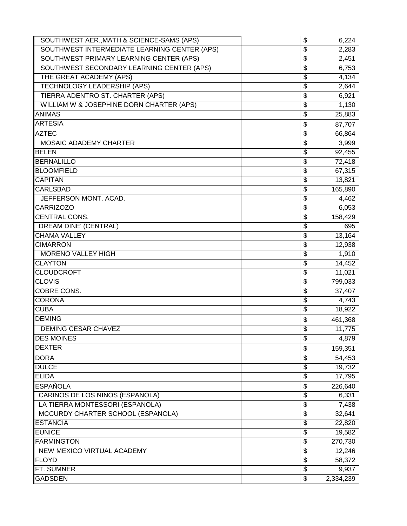| SOUTHWEST AER., MATH & SCIENCE-SAMS (APS)    | \$<br>6,224     |
|----------------------------------------------|-----------------|
| SOUTHWEST INTERMEDIATE LEARNING CENTER (APS) | \$<br>2,283     |
| SOUTHWEST PRIMARY LEARNING CENTER (APS)      | \$<br>2,451     |
| SOUTHWEST SECONDARY LEARNING CENTER (APS)    | \$<br>6,753     |
| THE GREAT ACADEMY (APS)                      | \$<br>4,134     |
| <b>TECHNOLOGY LEADERSHIP (APS)</b>           | \$<br>2,644     |
| TIERRA ADENTRO ST. CHARTER (APS)             | \$<br>6,921     |
| WILLIAM W & JOSEPHINE DORN CHARTER (APS)     | \$<br>1,130     |
| <b>ANIMAS</b>                                | \$<br>25,883    |
| <b>ARTESIA</b>                               | \$<br>87,707    |
| <b>AZTEC</b>                                 | \$<br>66,864    |
| <b>MOSAIC ADADEMY CHARTER</b>                | \$<br>3,999     |
| <b>BELEN</b>                                 | \$<br>92,455    |
| <b>BERNALILLO</b>                            | \$<br>72,418    |
| <b>BLOOMFIELD</b>                            | \$<br>67,315    |
| <b>CAPITAN</b>                               | \$<br>13,821    |
| <b>CARLSBAD</b>                              | \$<br>165,890   |
| JEFFERSON MONT. ACAD.                        | \$<br>4,462     |
| <b>CARRIZOZO</b>                             | \$<br>6,053     |
| <b>CENTRAL CONS.</b>                         | \$<br>158,429   |
| <b>DREAM DINE' (CENTRAL)</b>                 | \$<br>695       |
| <b>CHAMA VALLEY</b>                          | \$<br>13,164    |
| <b>CIMARRON</b>                              | \$<br>12,938    |
| <b>MORENO VALLEY HIGH</b>                    | \$<br>1,910     |
| <b>CLAYTON</b>                               | \$<br>14,452    |
| <b>CLOUDCROFT</b>                            | \$<br>11,021    |
| <b>CLOVIS</b>                                | \$<br>799,033   |
| <b>COBRE CONS.</b>                           | \$<br>37,407    |
| <b>CORONA</b>                                | \$<br>4,743     |
| <b>CUBA</b>                                  | \$<br>18,922    |
| <b>DEMING</b>                                | \$<br>461,368   |
| <b>DEMING CESAR CHAVEZ</b>                   | \$<br>11,775    |
| <b>DES MOINES</b>                            | \$<br>4,879     |
| <b>DEXTER</b>                                | \$<br>159,351   |
| <b>DORA</b>                                  | \$<br>54,453    |
| <b>DULCE</b>                                 | \$<br>19,732    |
| <b>ELIDA</b>                                 | \$<br>17,795    |
| <b>ESPAÑOLA</b>                              | \$<br>226,640   |
| CARINOS DE LOS NINOS (ESPANOLA)              | \$<br>6,331     |
| LA TIERRA MONTESSORI (ESPANOLA)              | \$<br>7,438     |
| MCCURDY CHARTER SCHOOL (ESPANOLA)            | \$<br>32,641    |
| <b>ESTANCIA</b>                              | \$<br>22,820    |
| <b>EUNICE</b>                                | \$<br>19,582    |
| <b>FARMINGTON</b>                            | \$<br>270,730   |
| NEW MEXICO VIRTUAL ACADEMY                   | \$<br>12,246    |
| <b>FLOYD</b>                                 | \$<br>58,372    |
| FT. SUMNER                                   | \$<br>9,937     |
| <b>GADSDEN</b>                               | \$<br>2,334,239 |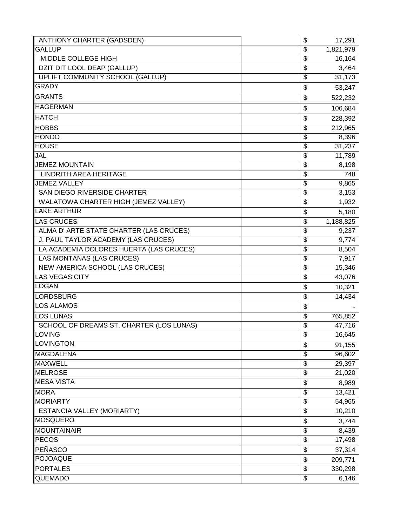| <b>GALLUP</b><br>1,821,979<br>\$<br><b>MIDDLE COLLEGE HIGH</b><br>16,164<br>\$<br>DZIT DIT LOOL DEAP (GALLUP)<br>\$<br>3,464<br>UPLIFT COMMUNITY SCHOOL (GALLUP)<br>\$<br>31,173<br><b>GRADY</b><br>\$<br>53,247<br><b>GRANTS</b><br>\$<br>522,232<br><b>HAGERMAN</b><br>\$<br>106,684<br><b>HATCH</b><br>\$<br>228,392<br>\$<br>212,965<br><b>HOBBS</b><br>8,396<br><b>HONDO</b><br>\$<br><b>HOUSE</b><br>31,237<br>\$<br>JAL<br>\$<br>11,789<br><b>JEMEZ MOUNTAIN</b><br>\$<br>8,198<br><b>LINDRITH AREA HERITAGE</b><br>748<br>\$<br><b>JEMEZ VALLEY</b><br>\$<br>9,865<br>SAN DIEGO RIVERSIDE CHARTER<br>3,153<br>\$<br>WALATOWA CHARTER HIGH (JEMEZ VALLEY)<br>1,932<br>\$<br><b>LAKE ARTHUR</b><br>\$<br>5,180<br><b>LAS CRUCES</b><br>1,188,825<br>\$<br>ALMA D' ARTE STATE CHARTER (LAS CRUCES)<br>\$<br>9,237<br>J. PAUL TAYLOR ACADEMY (LAS CRUCES)<br>\$<br>9,774<br>LA ACADEMIA DOLORES HUERTA (LAS CRUCES)<br>\$<br>8,504<br><b>LAS MONTANAS (LAS CRUCES)</b><br>7,917<br>\$<br>NEW AMERICA SCHOOL (LAS CRUCES)<br>\$<br>15,346<br><b>LAS VEGAS CITY</b><br>\$<br>43,076<br><b>LOGAN</b><br>\$<br>10,321<br><b>LORDSBURG</b><br>14,434<br>\$<br><b>LOS ALAMOS</b><br>\$<br><b>LOS LUNAS</b><br>\$<br>765,852<br>SCHOOL OF DREAMS ST. CHARTER (LOS LUNAS)<br>47,716<br>\$<br><b>LOVING</b><br>\$<br>16,645<br><b>LOVINGTON</b><br>\$<br>91,155<br><b>MAGDALENA</b><br>\$<br>96,602<br><b>MAXWELL</b><br>29,397<br>\$<br><b>MELROSE</b><br>21,020<br>\$<br><b>MESA VISTA</b><br>\$<br>8,989<br><b>MORA</b><br>13,421<br>\$<br><b>MORIARTY</b><br>\$<br>54,965<br>ESTANCIA VALLEY (MORIARTY)<br>\$<br>10,210<br><b>MOSQUERO</b><br>3,744<br>\$<br><b>MOUNTAINAIR</b><br>\$<br>8,439<br><b>PECOS</b><br>\$<br>17,498<br>PEÑASCO<br>\$<br>37,314<br><b>POJOAQUE</b><br>\$<br>209,771<br><b>PORTALES</b><br>\$<br>330,298<br><b>QUEMADO</b><br>\$<br>6,146 | ANTHONY CHARTER (GADSDEN) | \$<br>17,291 |
|-------------------------------------------------------------------------------------------------------------------------------------------------------------------------------------------------------------------------------------------------------------------------------------------------------------------------------------------------------------------------------------------------------------------------------------------------------------------------------------------------------------------------------------------------------------------------------------------------------------------------------------------------------------------------------------------------------------------------------------------------------------------------------------------------------------------------------------------------------------------------------------------------------------------------------------------------------------------------------------------------------------------------------------------------------------------------------------------------------------------------------------------------------------------------------------------------------------------------------------------------------------------------------------------------------------------------------------------------------------------------------------------------------------------------------------------------------------------------------------------------------------------------------------------------------------------------------------------------------------------------------------------------------------------------------------------------------------------------------------------------------------------------------------------------------------------------------------------------------------------|---------------------------|--------------|
|                                                                                                                                                                                                                                                                                                                                                                                                                                                                                                                                                                                                                                                                                                                                                                                                                                                                                                                                                                                                                                                                                                                                                                                                                                                                                                                                                                                                                                                                                                                                                                                                                                                                                                                                                                                                                                                                   |                           |              |
|                                                                                                                                                                                                                                                                                                                                                                                                                                                                                                                                                                                                                                                                                                                                                                                                                                                                                                                                                                                                                                                                                                                                                                                                                                                                                                                                                                                                                                                                                                                                                                                                                                                                                                                                                                                                                                                                   |                           |              |
|                                                                                                                                                                                                                                                                                                                                                                                                                                                                                                                                                                                                                                                                                                                                                                                                                                                                                                                                                                                                                                                                                                                                                                                                                                                                                                                                                                                                                                                                                                                                                                                                                                                                                                                                                                                                                                                                   |                           |              |
|                                                                                                                                                                                                                                                                                                                                                                                                                                                                                                                                                                                                                                                                                                                                                                                                                                                                                                                                                                                                                                                                                                                                                                                                                                                                                                                                                                                                                                                                                                                                                                                                                                                                                                                                                                                                                                                                   |                           |              |
|                                                                                                                                                                                                                                                                                                                                                                                                                                                                                                                                                                                                                                                                                                                                                                                                                                                                                                                                                                                                                                                                                                                                                                                                                                                                                                                                                                                                                                                                                                                                                                                                                                                                                                                                                                                                                                                                   |                           |              |
|                                                                                                                                                                                                                                                                                                                                                                                                                                                                                                                                                                                                                                                                                                                                                                                                                                                                                                                                                                                                                                                                                                                                                                                                                                                                                                                                                                                                                                                                                                                                                                                                                                                                                                                                                                                                                                                                   |                           |              |
|                                                                                                                                                                                                                                                                                                                                                                                                                                                                                                                                                                                                                                                                                                                                                                                                                                                                                                                                                                                                                                                                                                                                                                                                                                                                                                                                                                                                                                                                                                                                                                                                                                                                                                                                                                                                                                                                   |                           |              |
|                                                                                                                                                                                                                                                                                                                                                                                                                                                                                                                                                                                                                                                                                                                                                                                                                                                                                                                                                                                                                                                                                                                                                                                                                                                                                                                                                                                                                                                                                                                                                                                                                                                                                                                                                                                                                                                                   |                           |              |
|                                                                                                                                                                                                                                                                                                                                                                                                                                                                                                                                                                                                                                                                                                                                                                                                                                                                                                                                                                                                                                                                                                                                                                                                                                                                                                                                                                                                                                                                                                                                                                                                                                                                                                                                                                                                                                                                   |                           |              |
|                                                                                                                                                                                                                                                                                                                                                                                                                                                                                                                                                                                                                                                                                                                                                                                                                                                                                                                                                                                                                                                                                                                                                                                                                                                                                                                                                                                                                                                                                                                                                                                                                                                                                                                                                                                                                                                                   |                           |              |
|                                                                                                                                                                                                                                                                                                                                                                                                                                                                                                                                                                                                                                                                                                                                                                                                                                                                                                                                                                                                                                                                                                                                                                                                                                                                                                                                                                                                                                                                                                                                                                                                                                                                                                                                                                                                                                                                   |                           |              |
|                                                                                                                                                                                                                                                                                                                                                                                                                                                                                                                                                                                                                                                                                                                                                                                                                                                                                                                                                                                                                                                                                                                                                                                                                                                                                                                                                                                                                                                                                                                                                                                                                                                                                                                                                                                                                                                                   |                           |              |
|                                                                                                                                                                                                                                                                                                                                                                                                                                                                                                                                                                                                                                                                                                                                                                                                                                                                                                                                                                                                                                                                                                                                                                                                                                                                                                                                                                                                                                                                                                                                                                                                                                                                                                                                                                                                                                                                   |                           |              |
|                                                                                                                                                                                                                                                                                                                                                                                                                                                                                                                                                                                                                                                                                                                                                                                                                                                                                                                                                                                                                                                                                                                                                                                                                                                                                                                                                                                                                                                                                                                                                                                                                                                                                                                                                                                                                                                                   |                           |              |
|                                                                                                                                                                                                                                                                                                                                                                                                                                                                                                                                                                                                                                                                                                                                                                                                                                                                                                                                                                                                                                                                                                                                                                                                                                                                                                                                                                                                                                                                                                                                                                                                                                                                                                                                                                                                                                                                   |                           |              |
|                                                                                                                                                                                                                                                                                                                                                                                                                                                                                                                                                                                                                                                                                                                                                                                                                                                                                                                                                                                                                                                                                                                                                                                                                                                                                                                                                                                                                                                                                                                                                                                                                                                                                                                                                                                                                                                                   |                           |              |
|                                                                                                                                                                                                                                                                                                                                                                                                                                                                                                                                                                                                                                                                                                                                                                                                                                                                                                                                                                                                                                                                                                                                                                                                                                                                                                                                                                                                                                                                                                                                                                                                                                                                                                                                                                                                                                                                   |                           |              |
|                                                                                                                                                                                                                                                                                                                                                                                                                                                                                                                                                                                                                                                                                                                                                                                                                                                                                                                                                                                                                                                                                                                                                                                                                                                                                                                                                                                                                                                                                                                                                                                                                                                                                                                                                                                                                                                                   |                           |              |
|                                                                                                                                                                                                                                                                                                                                                                                                                                                                                                                                                                                                                                                                                                                                                                                                                                                                                                                                                                                                                                                                                                                                                                                                                                                                                                                                                                                                                                                                                                                                                                                                                                                                                                                                                                                                                                                                   |                           |              |
|                                                                                                                                                                                                                                                                                                                                                                                                                                                                                                                                                                                                                                                                                                                                                                                                                                                                                                                                                                                                                                                                                                                                                                                                                                                                                                                                                                                                                                                                                                                                                                                                                                                                                                                                                                                                                                                                   |                           |              |
|                                                                                                                                                                                                                                                                                                                                                                                                                                                                                                                                                                                                                                                                                                                                                                                                                                                                                                                                                                                                                                                                                                                                                                                                                                                                                                                                                                                                                                                                                                                                                                                                                                                                                                                                                                                                                                                                   |                           |              |
|                                                                                                                                                                                                                                                                                                                                                                                                                                                                                                                                                                                                                                                                                                                                                                                                                                                                                                                                                                                                                                                                                                                                                                                                                                                                                                                                                                                                                                                                                                                                                                                                                                                                                                                                                                                                                                                                   |                           |              |
|                                                                                                                                                                                                                                                                                                                                                                                                                                                                                                                                                                                                                                                                                                                                                                                                                                                                                                                                                                                                                                                                                                                                                                                                                                                                                                                                                                                                                                                                                                                                                                                                                                                                                                                                                                                                                                                                   |                           |              |
|                                                                                                                                                                                                                                                                                                                                                                                                                                                                                                                                                                                                                                                                                                                                                                                                                                                                                                                                                                                                                                                                                                                                                                                                                                                                                                                                                                                                                                                                                                                                                                                                                                                                                                                                                                                                                                                                   |                           |              |
|                                                                                                                                                                                                                                                                                                                                                                                                                                                                                                                                                                                                                                                                                                                                                                                                                                                                                                                                                                                                                                                                                                                                                                                                                                                                                                                                                                                                                                                                                                                                                                                                                                                                                                                                                                                                                                                                   |                           |              |
|                                                                                                                                                                                                                                                                                                                                                                                                                                                                                                                                                                                                                                                                                                                                                                                                                                                                                                                                                                                                                                                                                                                                                                                                                                                                                                                                                                                                                                                                                                                                                                                                                                                                                                                                                                                                                                                                   |                           |              |
|                                                                                                                                                                                                                                                                                                                                                                                                                                                                                                                                                                                                                                                                                                                                                                                                                                                                                                                                                                                                                                                                                                                                                                                                                                                                                                                                                                                                                                                                                                                                                                                                                                                                                                                                                                                                                                                                   |                           |              |
|                                                                                                                                                                                                                                                                                                                                                                                                                                                                                                                                                                                                                                                                                                                                                                                                                                                                                                                                                                                                                                                                                                                                                                                                                                                                                                                                                                                                                                                                                                                                                                                                                                                                                                                                                                                                                                                                   |                           |              |
|                                                                                                                                                                                                                                                                                                                                                                                                                                                                                                                                                                                                                                                                                                                                                                                                                                                                                                                                                                                                                                                                                                                                                                                                                                                                                                                                                                                                                                                                                                                                                                                                                                                                                                                                                                                                                                                                   |                           |              |
|                                                                                                                                                                                                                                                                                                                                                                                                                                                                                                                                                                                                                                                                                                                                                                                                                                                                                                                                                                                                                                                                                                                                                                                                                                                                                                                                                                                                                                                                                                                                                                                                                                                                                                                                                                                                                                                                   |                           |              |
|                                                                                                                                                                                                                                                                                                                                                                                                                                                                                                                                                                                                                                                                                                                                                                                                                                                                                                                                                                                                                                                                                                                                                                                                                                                                                                                                                                                                                                                                                                                                                                                                                                                                                                                                                                                                                                                                   |                           |              |
|                                                                                                                                                                                                                                                                                                                                                                                                                                                                                                                                                                                                                                                                                                                                                                                                                                                                                                                                                                                                                                                                                                                                                                                                                                                                                                                                                                                                                                                                                                                                                                                                                                                                                                                                                                                                                                                                   |                           |              |
|                                                                                                                                                                                                                                                                                                                                                                                                                                                                                                                                                                                                                                                                                                                                                                                                                                                                                                                                                                                                                                                                                                                                                                                                                                                                                                                                                                                                                                                                                                                                                                                                                                                                                                                                                                                                                                                                   |                           |              |
|                                                                                                                                                                                                                                                                                                                                                                                                                                                                                                                                                                                                                                                                                                                                                                                                                                                                                                                                                                                                                                                                                                                                                                                                                                                                                                                                                                                                                                                                                                                                                                                                                                                                                                                                                                                                                                                                   |                           |              |
|                                                                                                                                                                                                                                                                                                                                                                                                                                                                                                                                                                                                                                                                                                                                                                                                                                                                                                                                                                                                                                                                                                                                                                                                                                                                                                                                                                                                                                                                                                                                                                                                                                                                                                                                                                                                                                                                   |                           |              |
|                                                                                                                                                                                                                                                                                                                                                                                                                                                                                                                                                                                                                                                                                                                                                                                                                                                                                                                                                                                                                                                                                                                                                                                                                                                                                                                                                                                                                                                                                                                                                                                                                                                                                                                                                                                                                                                                   |                           |              |
|                                                                                                                                                                                                                                                                                                                                                                                                                                                                                                                                                                                                                                                                                                                                                                                                                                                                                                                                                                                                                                                                                                                                                                                                                                                                                                                                                                                                                                                                                                                                                                                                                                                                                                                                                                                                                                                                   |                           |              |
|                                                                                                                                                                                                                                                                                                                                                                                                                                                                                                                                                                                                                                                                                                                                                                                                                                                                                                                                                                                                                                                                                                                                                                                                                                                                                                                                                                                                                                                                                                                                                                                                                                                                                                                                                                                                                                                                   |                           |              |
|                                                                                                                                                                                                                                                                                                                                                                                                                                                                                                                                                                                                                                                                                                                                                                                                                                                                                                                                                                                                                                                                                                                                                                                                                                                                                                                                                                                                                                                                                                                                                                                                                                                                                                                                                                                                                                                                   |                           |              |
|                                                                                                                                                                                                                                                                                                                                                                                                                                                                                                                                                                                                                                                                                                                                                                                                                                                                                                                                                                                                                                                                                                                                                                                                                                                                                                                                                                                                                                                                                                                                                                                                                                                                                                                                                                                                                                                                   |                           |              |
|                                                                                                                                                                                                                                                                                                                                                                                                                                                                                                                                                                                                                                                                                                                                                                                                                                                                                                                                                                                                                                                                                                                                                                                                                                                                                                                                                                                                                                                                                                                                                                                                                                                                                                                                                                                                                                                                   |                           |              |
|                                                                                                                                                                                                                                                                                                                                                                                                                                                                                                                                                                                                                                                                                                                                                                                                                                                                                                                                                                                                                                                                                                                                                                                                                                                                                                                                                                                                                                                                                                                                                                                                                                                                                                                                                                                                                                                                   |                           |              |
|                                                                                                                                                                                                                                                                                                                                                                                                                                                                                                                                                                                                                                                                                                                                                                                                                                                                                                                                                                                                                                                                                                                                                                                                                                                                                                                                                                                                                                                                                                                                                                                                                                                                                                                                                                                                                                                                   |                           |              |
|                                                                                                                                                                                                                                                                                                                                                                                                                                                                                                                                                                                                                                                                                                                                                                                                                                                                                                                                                                                                                                                                                                                                                                                                                                                                                                                                                                                                                                                                                                                                                                                                                                                                                                                                                                                                                                                                   |                           |              |
|                                                                                                                                                                                                                                                                                                                                                                                                                                                                                                                                                                                                                                                                                                                                                                                                                                                                                                                                                                                                                                                                                                                                                                                                                                                                                                                                                                                                                                                                                                                                                                                                                                                                                                                                                                                                                                                                   |                           |              |
|                                                                                                                                                                                                                                                                                                                                                                                                                                                                                                                                                                                                                                                                                                                                                                                                                                                                                                                                                                                                                                                                                                                                                                                                                                                                                                                                                                                                                                                                                                                                                                                                                                                                                                                                                                                                                                                                   |                           |              |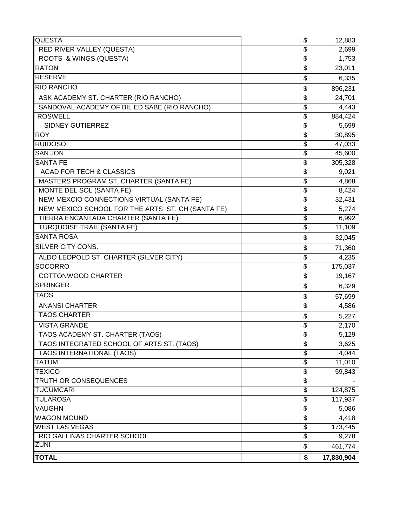| <b>QUESTA</b>                                    | \$ | 12,883             |
|--------------------------------------------------|----|--------------------|
| RED RIVER VALLEY (QUESTA)                        | \$ | 2,699              |
| <b>ROOTS &amp; WINGS (QUESTA)</b>                | \$ | 1,753              |
| <b>RATON</b>                                     | \$ | 23,011             |
| <b>RESERVE</b>                                   | \$ | 6,335              |
| <b>RIO RANCHO</b>                                | \$ | 896,231            |
| ASK ACADEMY ST. CHARTER (RIO RANCHO)             | \$ | 24,701             |
| SANDOVAL ACADEMY OF BIL ED SABE (RIO RANCHO)     | \$ | 4,443              |
| <b>ROSWELL</b>                                   | \$ | 884,424            |
| <b>SIDNEY GUTIERREZ</b>                          | \$ | 5,699              |
| <b>ROY</b>                                       | \$ | 30,895             |
| <b>RUIDOSO</b>                                   | \$ | 47,033             |
| <b>SAN JON</b>                                   | \$ | 45,600             |
| <b>SANTA FE</b>                                  | \$ | 305,328            |
| <b>ACAD FOR TECH &amp; CLASSICS</b>              | \$ | 9,021              |
| MASTERS PROGRAM ST. CHARTER (SANTA FE)           | \$ | 4,868              |
| MONTE DEL SOL (SANTA FE)                         | \$ | 8,424              |
| NEW MEXCIO CONNECTIONS VIRTUAL (SANTA FE)        | \$ | 32,431             |
| NEW MEXICO SCHOOL FOR THE ARTS ST. CH (SANTA FE) | \$ | 5,274              |
| TIERRA ENCANTADA CHARTER (SANTA FE)              | \$ | 6,992              |
| <b>TURQUOISE TRAIL (SANTA FE)</b>                | \$ | 11,109             |
| <b>SANTA ROSA</b>                                | \$ | 32,045             |
| SILVER CITY CONS.                                | \$ | 71,360             |
| ALDO LEOPOLD ST. CHARTER (SILVER CITY)           | \$ | 4,235              |
| <b>SOCORRO</b>                                   | \$ | 175,037            |
| COTTONWOOD CHARTER                               | \$ | 19,167             |
| <b>SPRINGER</b>                                  | \$ | 6,329              |
| <b>TAOS</b>                                      | \$ | 57,699             |
| <b>ANANSI CHARTER</b>                            | \$ | 4,586              |
| <b>TAOS CHARTER</b>                              | \$ | 5,227              |
| <b>VISTA GRANDE</b>                              | \$ | 2,170              |
| TAOS ACADEMY ST. CHARTER (TAOS)                  | Φ  | $\overline{5,129}$ |
| TAOS INTEGRATED SCHOOL OF ARTS ST. (TAOS)        | \$ | 3,625              |
| <b>TAOS INTERNATIONAL (TAOS)</b>                 | \$ | 4,044              |
| <b>TATUM</b>                                     | \$ | 11,010             |
| <b>TEXICO</b>                                    | \$ | 59,843             |
| <b>TRUTH OR CONSEQUENCES</b>                     | \$ |                    |
| <b>TUCUMCARI</b>                                 | \$ | 124,875            |
| <b>TULAROSA</b>                                  | \$ | 117,937            |
| <b>VAUGHN</b>                                    | \$ | 5,086              |
| <b>WAGON MOUND</b>                               | \$ | 4,418              |
| <b>WEST LAS VEGAS</b>                            | \$ | 173,445            |
| RIO GALLINAS CHARTER SCHOOL                      | \$ | 9,278              |
| <b>ZUNI</b>                                      | \$ | 461,774            |
| <b>TOTAL</b>                                     | \$ | 17,830,904         |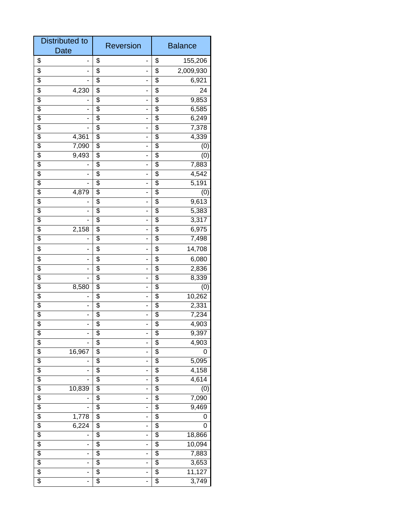| <b>Distributed to</b><br><b>Date</b>                 | <b>Reversion</b>                  | <b>Balance</b>                    |  |
|------------------------------------------------------|-----------------------------------|-----------------------------------|--|
| \$<br>-                                              | \$<br>-                           | \$<br>155,206                     |  |
| \$                                                   | \$                                | \$<br>2,009,930                   |  |
| \$                                                   | \$<br>-                           | \$<br>6,921                       |  |
| \$<br>4,230                                          | \$<br>-                           | \$<br>24                          |  |
| $\overline{\$}$                                      | \$<br>-                           | $\overline{\$}$<br>9,853          |  |
| $\overline{\$}$                                      | \$<br>-                           | \$<br>6,585                       |  |
| $\overline{\$}$<br>۰                                 | \$<br>-                           | \$<br>6,249                       |  |
| \$                                                   | \$<br>-                           | \$<br>7,378                       |  |
| \$<br>4,361                                          | \$<br>-                           | 4,339<br>\$                       |  |
| \$<br>7,090                                          | \$<br>-                           | \$<br>(0)                         |  |
| \$<br>9,493                                          | \$<br>-                           | \$<br>(0)                         |  |
| \$                                                   | \$<br>-                           | \$<br>7,883                       |  |
| $\overline{\$}$                                      | $\overline{\$}$<br>-              | $\overline{\$}$<br>4,542          |  |
| \$                                                   | \$<br>-                           | \$<br>5,191                       |  |
| \$<br>4,879                                          | \$<br>-                           | \$<br>(0)                         |  |
| $\overline{\$}$                                      | \$<br>-                           | \$<br>9,613                       |  |
| \$                                                   | \$<br>-                           | \$<br>5,383                       |  |
| \$                                                   | \$<br>-                           | \$<br>3,317                       |  |
| \$<br>2,158                                          | \$<br>-                           | \$<br>6,975                       |  |
| \$                                                   | $\overline{\$}$<br>-              | $\overline{\$}$<br>7,498          |  |
| \$                                                   | \$<br>-                           | \$<br>14,708                      |  |
| \$<br>۰                                              | \$<br>-                           | \$<br>6,080                       |  |
| \$                                                   | \$<br>-                           | \$<br>2,836                       |  |
| \$                                                   | \$<br>-                           | \$<br>8,339                       |  |
| \$<br>8,580                                          | \$                                | \$<br>(0)                         |  |
| \$                                                   | \$<br>-                           | \$<br>10,262                      |  |
| \$                                                   | \$<br>-                           | \$<br>2,331                       |  |
| \$<br>٠                                              | \$<br>-                           | \$<br>7,234                       |  |
| \$<br>-                                              | \$<br>-                           | \$<br>4,903                       |  |
| $\overline{\$}$                                      | $\overline{\$}$                   | $\overline{\$}$<br>9,397          |  |
| \$                                                   | \$<br>-                           | \$<br>4,903                       |  |
| \$<br>16,967                                         | \$<br>-                           | \$<br>0                           |  |
| $\overline{\$}$                                      | \$<br>-                           | \$<br>5,095                       |  |
| \$                                                   | \$<br>-                           | 4,158<br>\$                       |  |
| \$                                                   | \$<br>-                           | \$<br>4,614                       |  |
| \$<br>10,839                                         | \$<br>-                           | \$<br>(0)                         |  |
| $\overline{\boldsymbol{\theta}}$                     | \$<br>-                           | $\overline{\mathcal{E}}$<br>7,090 |  |
| $\overline{\$}$                                      | $\overline{\$}$<br>-              | $\overline{\$}$<br>9,469          |  |
| $\overline{\$}$<br>1,778<br>$\overline{\$}$<br>6,224 | \$<br>-<br>$\overline{\$}$        | \$<br>0<br>\$<br>0                |  |
| \$                                                   | -<br>\$<br>-                      | \$<br>18,866                      |  |
| \$<br>-                                              | \$<br>-                           | \$<br>10,094                      |  |
| \$<br>-                                              | \$<br>-                           | \$<br>7,883                       |  |
| \$<br>$\overline{\phantom{0}}$                       | \$<br>-                           | \$<br>3,653                       |  |
| $\overline{\boldsymbol{\mathsf{S}}}$                 | \$                                | 11,127<br>\$                      |  |
| \$<br>$\overline{a}$                                 | $\overline{\$}$<br>$\overline{a}$ | $\overline{\$}$<br>3,749          |  |
|                                                      |                                   |                                   |  |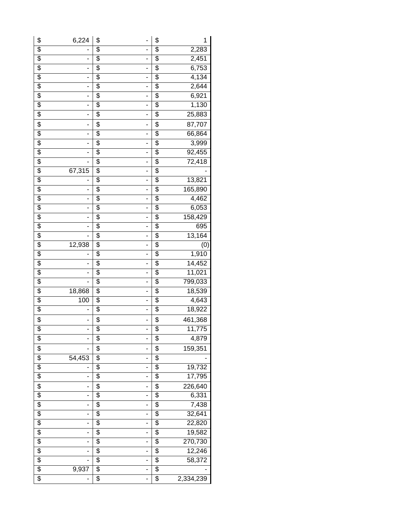| \$                                   | 6,224                        | \$                       |                              | \$                                   | 1              |
|--------------------------------------|------------------------------|--------------------------|------------------------------|--------------------------------------|----------------|
| \$                                   |                              | \$                       |                              | \$                                   |                |
| $\overline{\mathcal{E}}$             | ÷,                           | $\overline{\mathcal{E}}$ | -<br>$\overline{a}$          | $\overline{\$}$                      | 2,283<br>2,451 |
|                                      |                              | $\overline{\$}$          |                              | $\overline{\$}$                      |                |
| $\overline{\$}$                      | $\overline{\phantom{0}}$     |                          | $\overline{\phantom{0}}$     |                                      | 6,753          |
| $\overline{\$}$                      | $\blacksquare$               | $\overline{\$}$          | $\qquad \qquad \blacksquare$ | $\overline{\$}$                      | 4,134          |
| $\overline{\$}$                      | $\qquad \qquad \blacksquare$ | $\overline{\$}$          | $\overline{\phantom{a}}$     | $\overline{\$}$                      | 2,644          |
| $\overline{\mathbf{e}}$              | ٠                            | $\overline{\mathcal{G}}$ | $\overline{a}$               | $\overline{\mathbf{e}}$              | 6,921          |
| $\overline{\mathcal{E}}$             | $\overline{\phantom{a}}$     | $\overline{\mathcal{G}}$ | $\overline{\phantom{0}}$     | $\overline{\mathbf{e}}$              | 1,130          |
| $\overline{\mathbf{e}}$              | $\blacksquare$               | \$                       | $\qquad \qquad \blacksquare$ | \$                                   | 25,883         |
| \$                                   | $\overline{\phantom{0}}$     | \$                       | $\overline{a}$               | \$                                   | 87,707         |
| $\overline{\$}$                      | $\overline{\phantom{0}}$     | $\overline{\$}$          | $\overline{\phantom{a}}$     | $\overline{\$}$                      | 66,864         |
| $\overline{\mathcal{E}}$             | ٠                            | $\overline{\$}$          | $\overline{a}$               | $\overline{\mathbf{e}}$              | 3,999          |
| $\overline{\mathcal{E}}$             | -                            | $\overline{\mathcal{G}}$ | -                            | $\overline{\mathcal{E}}$             | 92,455         |
| \$                                   | ÷,                           | \$                       | $\qquad \qquad \blacksquare$ | \$                                   | 72,418         |
| $\overline{\mathcal{E}}$             | 67,315                       | $\overline{\mathcal{E}}$ | $\overline{\phantom{0}}$     | $\overline{\mathcal{E}}$             |                |
| $\overline{\boldsymbol{\theta}}$     | $\overline{\phantom{0}}$     | $\overline{\$}$          | -                            | $\overline{\boldsymbol{\mathsf{S}}}$ | 13,821         |
| $\overline{\$}$                      | $\overline{\phantom{0}}$     | $\overline{\$}$          | $\overline{a}$               | $\overline{\$}$                      | 165,890        |
| $\overline{\$}$                      | $\overline{\phantom{0}}$     | $\overline{\$}$          | $\overline{a}$               | $\overline{\mathbf{e}}$              | 4,462          |
| $\overline{\mathbf{e}}$              | ٠                            | $\overline{\mathcal{G}}$ | $\overline{a}$               | $\overline{\mathbf{e}}$              | 6,053          |
| $\overline{\$}$                      | $\overline{\phantom{0}}$     | $\overline{\mathcal{G}}$ | $\overline{\phantom{0}}$     | $\overline{\mathbf{e}}$              | 158,429        |
| \$                                   | -                            | \$                       | $\overline{a}$               | \$                                   | 695            |
| $\overline{\mathcal{E}}$             | ÷,                           | $\overline{\mathcal{G}}$ | $\overline{a}$               | $\overline{\mathcal{E}}$             | 13,164         |
| \$                                   | 12,938                       | $\overline{\mathcal{E}}$ | -                            | \$                                   | (0)            |
| $\overline{\boldsymbol{\mathsf{S}}}$ |                              | $\overline{\$}$          | $\overline{a}$               | $\overline{\$}$                      | 1,910          |
| $\overline{\$}$                      | -                            | $\overline{\$}$          | $\overline{\phantom{0}}$     | $\overline{\$}$                      | 14,452         |
| $\overline{\mathbf{e}}$              | ٠                            | $\overline{\mathcal{G}}$ | $\frac{1}{2}$                | $\overline{\mathbf{e}}$              | 11,021         |
| $\overline{\$}$                      | $\overline{a}$               | $\overline{\$}$          | $\overline{\phantom{0}}$     | $\overline{\$}$                      | 799,033        |
| $\overline{\mathbf{e}}$              | 18,868                       | $\overline{\mathcal{G}}$ | $\overline{a}$               | \$                                   | 18,539         |
| \$                                   | 100                          | \$                       | $\overline{\phantom{0}}$     | \$                                   | 4,643          |
| $\overline{\mathcal{E}}$             |                              | $\overline{\mathcal{G}}$ | $\overline{\phantom{0}}$     | \$                                   | 18,922         |
|                                      |                              |                          | $\overline{a}$               |                                      |                |
| \$                                   | ٠                            | \$                       |                              | \$                                   | 461,368        |
| \$                                   | -                            | \$                       | -                            | \$                                   | 11,775         |
| \$                                   |                              | $\overline{\mathcal{G}}$ | $\frac{1}{2}$                | $\overline{\mathcal{S}}$             | 4,879          |
| \$                                   |                              | \$                       | $\overline{\phantom{a}}$     | \$                                   | 159,351        |
| $\overline{\$}$                      | 54,453                       | $\overline{\$}$          | $\overline{a}$               | $\overline{\$}$                      |                |
| $\overline{\$}$                      | ٠                            | $\overline{\$}$          | $\overline{a}$               | $\overline{\$}$                      | 19,732         |
| $\overline{\mathcal{G}}$             | $\overline{\phantom{0}}$     | $\overline{\$}$          | $\overline{\phantom{0}}$     | $\overline{\mathbf{e}}$              | 17,795         |
| \$                                   | -                            | \$                       | $\overline{a}$               | \$                                   | 226,640        |
| $\overline{\$}$                      | $\qquad \qquad \blacksquare$ | $\overline{\$}$          | $\overline{\phantom{0}}$     | $\overline{\$}$                      | 6,331          |
| $\overline{\mathcal{G}}$             | $\qquad \qquad \blacksquare$ | \$                       | $\overline{\phantom{a}}$     | $\overline{\mathbf{e}}$              | 7,438          |
| $\overline{\mathcal{G}}$             | ÷,                           | $\overline{\mathcal{G}}$ | $\overline{a}$               | $\overline{\mathcal{S}}$             | 32,641         |
| $\overline{\mathcal{E}}$             | $\overline{\phantom{0}}$     | $\overline{\$}$          | -                            | $\overline{\$}$                      | 22,820         |
| $\overline{\$}$                      | $\overline{\phantom{0}}$     | $\overline{\$}$          | $\overline{a}$               | $\overline{\$}$                      | 19,582         |
| $\overline{\$}$                      | -                            | $\overline{\$}$          | $\overline{a}$               | $\overline{\$}$                      | 270,730        |
| $\overline{\$}$                      | ٠                            | $\overline{\$}$          | $\overline{a}$               | $\overline{\$}$                      | 12,246         |
| $\overline{\$}$                      | ÷,                           | $\overline{\$}$          | -                            | $\overline{\$}$                      | 58,372         |
| $\overline{\$}$                      | 9,937                        | $\overline{\$}$          | $\overline{a}$               | $\overline{\mathbf{e}}$              |                |
| \$                                   | -                            | $\overline{\$}$          | $\overline{a}$               | $\overline{\$}$                      | 2,334,239      |
|                                      |                              |                          |                              |                                      |                |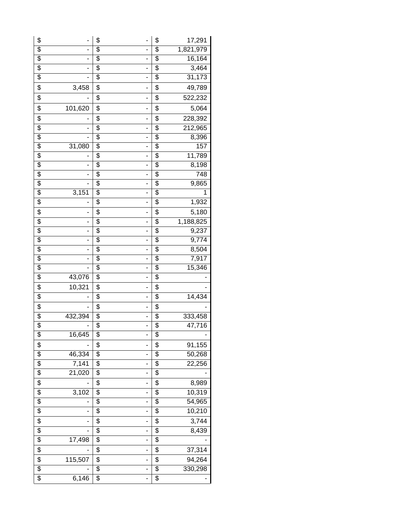| \$              |         | \$              | -                            | \$                                   | 17,291    |
|-----------------|---------|-----------------|------------------------------|--------------------------------------|-----------|
| \$              |         | \$              |                              | \$                                   | 1,821,979 |
| \$              |         | $\overline{\$}$ | -                            | $\overline{\$}$                      | 16,164    |
| \$              |         | $\overline{\$}$ | -                            | \$                                   | 3,464     |
| $\overline{\$}$ | ۰       | \$              | $\overline{a}$               | $\overline{\$}$                      | 31,173    |
| \$              | 3,458   | \$              | -                            | \$                                   | 49,789    |
| \$              |         | \$              | -                            | \$                                   | 522,232   |
| \$              | 101,620 | \$              | -                            | \$                                   | 5,064     |
| \$              |         | \$              | -                            | \$                                   | 228,392   |
| \$              |         | \$              | -                            | \$                                   | 212,965   |
| \$              |         | \$              | -                            | \$                                   | 8,396     |
| \$              | 31,080  | $\overline{\$}$ | -                            | $\overline{\$}$                      | 157       |
| \$              |         | $\overline{\$}$ | -                            | $\overline{\$}$                      | 11,789    |
| $\overline{\$}$ | ٠       | \$              | $\overline{a}$               | $\overline{\$}$                      | 8,198     |
| $\overline{\$}$ | -       | \$              | -                            | \$                                   | 748       |
| \$              |         | \$              | -                            | \$                                   | 9,865     |
| \$              | 3,151   | \$              | $\overline{\phantom{a}}$     | \$                                   | 1         |
| \$              |         | \$              | $\qquad \qquad \blacksquare$ | \$                                   | 1,932     |
| \$              | -       | \$              | $\qquad \qquad \blacksquare$ | \$                                   | 5,180     |
| \$              | -       | \$              | -                            | \$                                   | 1,188,825 |
| \$              |         | \$              |                              | \$                                   | 9,237     |
| \$              | -       | \$              | -                            | \$                                   | 9,774     |
| \$              |         | \$              | -                            | \$                                   | 8,504     |
| \$              |         | \$              |                              | $\overline{\boldsymbol{\mathsf{S}}}$ | 7,917     |
| $\overline{\$}$ |         | $\overline{\$}$ | -                            | $\overline{\$}$                      | 15,346    |
| $\overline{\$}$ | 43,076  | \$              | $\qquad \qquad \blacksquare$ | \$                                   |           |
| \$              | 10,321  | \$              | -                            | \$                                   |           |
| \$              |         | \$              | -                            | \$                                   | 14,434    |
| \$              |         | \$              | -                            | \$                                   |           |
| \$              | 432,394 | \$              | -                            | \$                                   | 333,458   |
| \$              |         | \$              | -                            | \$                                   | 47,716    |
| \$              | 16,645  | \$              |                              | $\overline{\boldsymbol{\mathsf{S}}}$ |           |
| \$              |         | \$              | -                            | \$                                   | 91,155    |
| \$              | 46,334  | \$              | -                            | \$                                   | 50,268    |
| \$              | 7,141   | \$              | $\qquad \qquad \blacksquare$ | \$                                   | 22,256    |
| \$              | 21,020  | \$              | -                            | \$                                   |           |
| \$              |         | \$              | -                            | \$                                   | 8,989     |
| \$              | 3,102   | \$              |                              | \$                                   | 10,319    |
| \$              |         | \$              | -                            | \$                                   | 54,965    |
| \$              |         | \$              |                              | \$                                   | 10,210    |
| \$              |         | \$              | -                            | \$                                   | 3,744     |
| \$              |         | \$              | -                            | \$                                   | 8,439     |
| \$              | 17,498  | \$              | $\overline{\phantom{a}}$     | $\overline{\mathcal{E}}$             |           |
| \$              |         | \$              | -                            | \$                                   | 37,314    |
| \$              | 115,507 | \$              |                              | \$                                   | 94,264    |
| \$              |         | $\overline{\$}$ | -                            | $\overline{\$}$                      | 330,298   |
| $\overline{\$}$ | 6,146   | \$              |                              | \$                                   |           |
|                 |         |                 |                              |                                      |           |